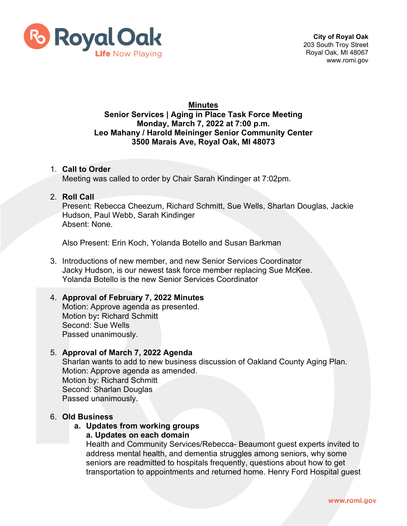

# **Minutes**

#### **Senior Services | Aging in Place Task Force Meeting Monday, March 7, 2022 at 7:00 p.m. Leo Mahany / Harold Meininger Senior Community Center 3500 Marais Ave, Royal Oak, MI 48073**

#### 1. **Call to Order** Meeting was called to order by Chair Sarah Kindinger at 7:02pm.

#### 2. **Roll Call**

Present: Rebecca Cheezum, Richard Schmitt, Sue Wells, Sharlan Douglas, Jackie Hudson, Paul Webb, Sarah Kindinger Absent: None.

Also Present: Erin Koch, Yolanda Botello and Susan Barkman

3. Introductions of new member, and new Senior Services Coordinator Jacky Hudson, is our newest task force member replacing Sue McKee. Yolanda Botello is the new Senior Services Coordinator

### 4. **Approval of February 7, 2022 Minutes**

Motion: Approve agenda as presented. Motion by**:** Richard Schmitt Second: Sue Wells Passed unanimously.

#### 5. **Approval of March 7, 2022 Agenda**

Sharlan wants to add to new business discussion of Oakland County Aging Plan. Motion: Approve agenda as amended. Motion by: Richard Schmitt Second: Sharlan Douglas Passed unanimously.

#### 6. **Old Business**

## **a. Updates from working groups**

### **a. Updates on each domain**

Health and Community Services/Rebecca- Beaumont guest experts invited to address mental health, and dementia struggles among seniors, why some seniors are readmitted to hospitals frequently, questions about how to get transportation to appointments and returned home. Henry Ford Hospital guest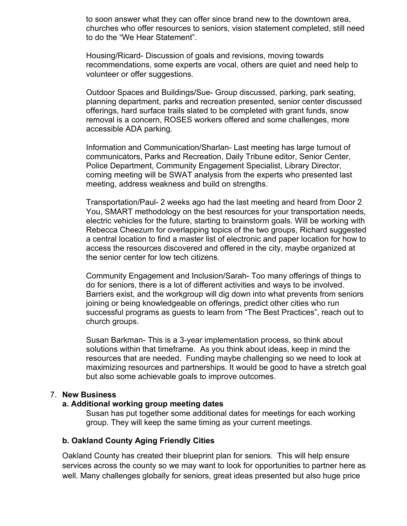to soon answer what they can offer since brand new to the downtown area, churches who offer resources to seniors, vision statement completed, still need to do the "We Hear Statement".

Housing/Ricard- Discussion of goals and revisions, moving towards recommendations, some experts are vocal, others are quiet and need help to volunteer or offer suggestions.

Outdoor Spaces and Buildings/Sue- Group discussed, parking, park seating, planning department, parks and recreation presented, senior center discussed offerings, hard surface trails slated to be completed with grant funds, snow removal is a concern, ROSES workers offered and some challenges, more accessible ADA parking.

Information and Communication/Sharlan- Last meeting has large turnout of communicators, Parks and Recreation, Daily Tribune editor, Senior Center, Police Department, Community Engagement Specialist, Library Director, coming meeting will be SWAT analysis from the experts who presented last meeting, address weakness and build on strengths.

Transportation/Paul- 2 weeks ago had the last meeting and heard from Door 2 You, SMART methodology on the best resources for your transportation needs, electric vehicles for the future, starting to brainstorm goals. Will be working with Rebecca Cheezum for overlapping topics of the two groups, Richard suggested a central location to find a master list of electronic and paper location for how to access the resources discovered and offered in the city, maybe organized at the senior center for low tech citizens.

Community Engagement and Inclusion/Sarah- Too many offerings of things to do for seniors, there is a lot of different activities and ways to be involved. Barriers exist, and the workgroup will dig down into what prevents from seniors joining or being knowledgeable on offerings, predict other cities who run successful programs as guests to learn from "The Best Practices", reach out to church groups.

Susan Barkman- This is a 3-year implementation process, so think about solutions within that timeframe. As you think about ideas, keep in mind the resources that are needed. Funding maybe challenging so we need to look at maximizing resources and partnerships. It would be good to have a stretch goal but also some achievable goals to improve outcomes.

#### 7. **New Business**

#### **a. Additional working group meeting dates**

Susan has put together some additional dates for meetings for each working group. They will keep the same timing as your current meetings.

#### **b. Oakland County Aging Friendly Cities**

Oakland County has created their blueprint plan for seniors. This will help ensure services across the county so we may want to look for opportunities to partner here as well. Many challenges globally for seniors, great ideas presented but also huge price